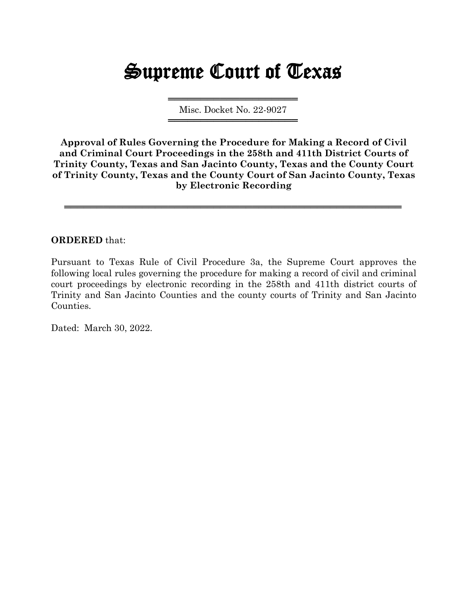# Supreme Court of Texas

════════════════════ Misc. Docket No. 22-9027 ════════════════════

**Approval of Rules Governing the Procedure for Making a Record of Civil and Criminal Court Proceedings in the 258th and 411th District Courts of Trinity County, Texas and San Jacinto County, Texas and the County Court of Trinity County, Texas and the County Court of San Jacinto County, Texas by Electronic Recording**

════════════════════════════════════════════════════

### **ORDERED** that:

Pursuant to Texas Rule of Civil Procedure 3a, the Supreme Court approves the following local rules governing the procedure for making a record of civil and criminal court proceedings by electronic recording in the 258th and 411th district courts of Trinity and San Jacinto Counties and the county courts of Trinity and San Jacinto Counties.

Dated: March 30, 2022.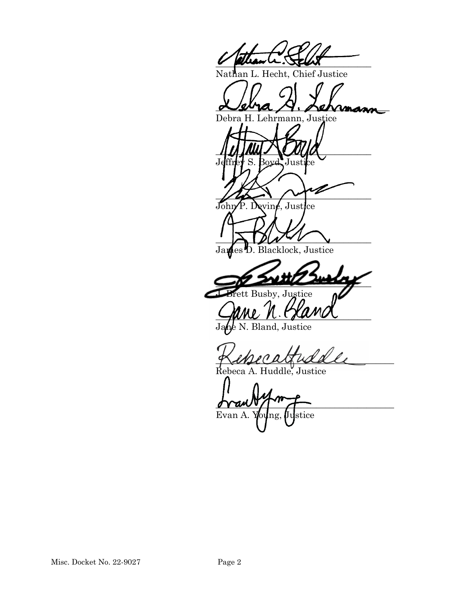$V$  pollar  $U$ . Sport

Nathan L. Hecht, Chief Justice

 $\sim$ sura  $\sim$ . permana

Debra H. Lehrmann, Justice

\_\_\_\_\_\_\_\_\_\_\_\_\_\_\_\_\_\_\_\_\_\_\_\_\_\_\_\_\_\_\_\_\_\_ Jeffrey S. Boyd, Justice  $\sqrt{2}$ John P. Devine, Justice

 $\rightarrow$ James<sup>1</sup>D. Blacklock, Justice

 $\sim$ Busby, Justice

 $C$  and  $C$  is the subset

Bland, Justice

\_\_\_\_\_\_\_\_\_\_\_\_\_\_\_\_\_\_\_\_\_\_\_\_\_\_\_\_\_\_\_\_\_\_\_\_\_\_\_

Rebeca A. Huddle, Justice

 $\gamma$ Evan A.  $\psi$ <sub>u</sub>ng, Ustice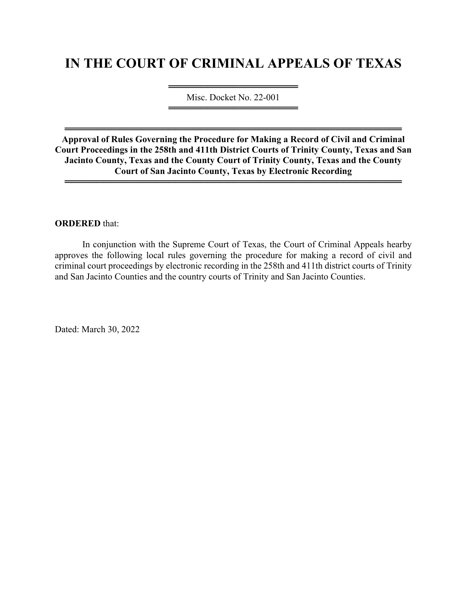## **IN THE COURT OF CRIMINAL APPEALS OF TEXAS**

════════════════════════════════════╧═ Misc. Docket No. 22-001 ════════════════════════════════════

**Approval of Rules Governing the Procedure for Making a Record of Civil and Criminal Court Proceedings in the 258th and 411th District Courts of Trinity County, Texas and San Jacinto County, Texas and the County Court of Trinity County, Texas and the County Court of San Jacinto County, Texas by Electronic Recording** 

════════════════════════════════════════════════════

════════════════════════════════════════════════════

#### **ORDERED** that:

 In conjunction with the Supreme Court of Texas, the Court of Criminal Appeals hearby approves the following local rules governing the procedure for making a record of civil and criminal court proceedings by electronic recording in the 258th and 411th district courts of Trinity and San Jacinto Counties and the country courts of Trinity and San Jacinto Counties.

Dated: March 30, 2022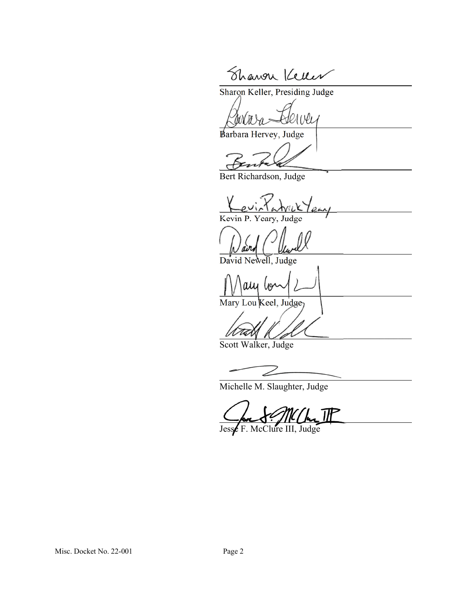Shawar Keller

Sharon Keller, Presiding Judge

Barbara Hervey, Judge

Bert Richardson, Judge

Kevin P. Yeary, Judge

David Newell, Judge

au U9

Mary Lou Keel, Judge

 $M$ 

Scott Walker, Judge

Michelle M. Slaughter, Judge

Jesse F. McClure III, Judge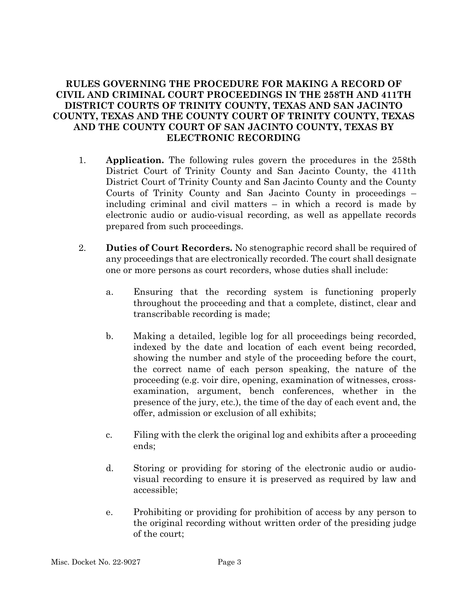### **RULES GOVERNING THE PROCEDURE FOR MAKING A RECORD OF CIVIL AND CRIMINAL COURT PROCEEDINGS IN THE 258TH AND 411TH DISTRICT COURTS OF TRINITY COUNTY, TEXAS AND SAN JACINTO COUNTY, TEXAS AND THE COUNTY COURT OF TRINITY COUNTY, TEXAS AND THE COUNTY COURT OF SAN JACINTO COUNTY, TEXAS BY ELECTRONIC RECORDING**

- 1. **Application.** The following rules govern the procedures in the 258th District Court of Trinity County and San Jacinto County, the 411th District Court of Trinity County and San Jacinto County and the County Courts of Trinity County and San Jacinto County in proceedings – including criminal and civil matters – in which a record is made by electronic audio or audio-visual recording, as well as appellate records prepared from such proceedings.
- 2. **Duties of Court Recorders.** No stenographic record shall be required of any proceedings that are electronically recorded. The court shall designate one or more persons as court recorders, whose duties shall include:
	- a. Ensuring that the recording system is functioning properly throughout the proceeding and that a complete, distinct, clear and transcribable recording is made;
	- b. Making a detailed, legible log for all proceedings being recorded, indexed by the date and location of each event being recorded, showing the number and style of the proceeding before the court, the correct name of each person speaking, the nature of the proceeding (e.g. voir dire, opening, examination of witnesses, crossexamination, argument, bench conferences, whether in the presence of the jury, etc.), the time of the day of each event and, the offer, admission or exclusion of all exhibits;
	- c. Filing with the clerk the original log and exhibits after a proceeding ends;
	- d. Storing or providing for storing of the electronic audio or audiovisual recording to ensure it is preserved as required by law and accessible;
	- e. Prohibiting or providing for prohibition of access by any person to the original recording without written order of the presiding judge of the court;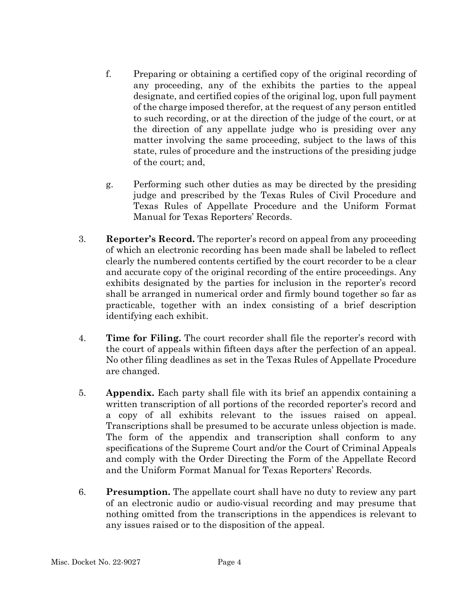- f. Preparing or obtaining a certified copy of the original recording of any proceeding, any of the exhibits the parties to the appeal designate, and certified copies of the original log, upon full payment of the charge imposed therefor, at the request of any person entitled to such recording, or at the direction of the judge of the court, or at the direction of any appellate judge who is presiding over any matter involving the same proceeding, subject to the laws of this state, rules of procedure and the instructions of the presiding judge of the court; and,
- g. Performing such other duties as may be directed by the presiding judge and prescribed by the Texas Rules of Civil Procedure and Texas Rules of Appellate Procedure and the Uniform Format Manual for Texas Reporters' Records.
- 3. **Reporter's Record.** The reporter's record on appeal from any proceeding of which an electronic recording has been made shall be labeled to reflect clearly the numbered contents certified by the court recorder to be a clear and accurate copy of the original recording of the entire proceedings. Any exhibits designated by the parties for inclusion in the reporter's record shall be arranged in numerical order and firmly bound together so far as practicable, together with an index consisting of a brief description identifying each exhibit.
- 4. **Time for Filing.** The court recorder shall file the reporter's record with the court of appeals within fifteen days after the perfection of an appeal. No other filing deadlines as set in the Texas Rules of Appellate Procedure are changed.
- 5. **Appendix.** Each party shall file with its brief an appendix containing a written transcription of all portions of the recorded reporter's record and a copy of all exhibits relevant to the issues raised on appeal. Transcriptions shall be presumed to be accurate unless objection is made. The form of the appendix and transcription shall conform to any specifications of the Supreme Court and/or the Court of Criminal Appeals and comply with the Order Directing the Form of the Appellate Record and the Uniform Format Manual for Texas Reporters' Records.
- 6. **Presumption.** The appellate court shall have no duty to review any part of an electronic audio or audio-visual recording and may presume that nothing omitted from the transcriptions in the appendices is relevant to any issues raised or to the disposition of the appeal.